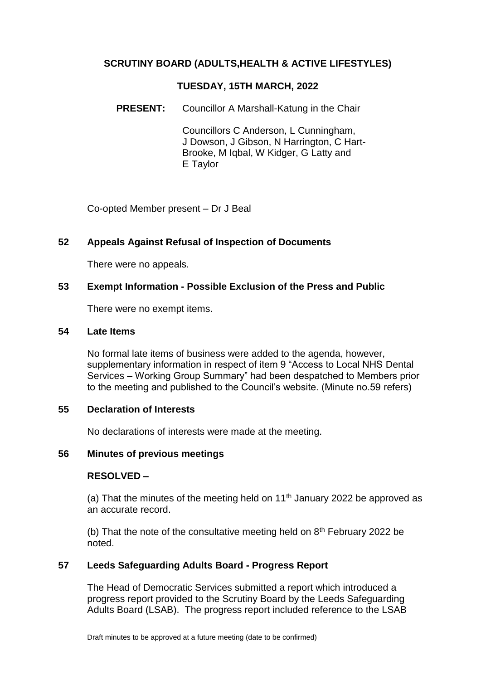# **SCRUTINY BOARD (ADULTS,HEALTH & ACTIVE LIFESTYLES)**

### **TUESDAY, 15TH MARCH, 2022**

### **PRESENT:** Councillor A Marshall-Katung in the Chair

Councillors C Anderson, L Cunningham, J Dowson, J Gibson, N Harrington, C Hart-Brooke, M Iqbal, W Kidger, G Latty and E Taylor

Co-opted Member present – Dr J Beal

#### **52 Appeals Against Refusal of Inspection of Documents**

There were no appeals.

## **53 Exempt Information - Possible Exclusion of the Press and Public**

There were no exempt items.

#### **54 Late Items**

No formal late items of business were added to the agenda, however, supplementary information in respect of item 9 "Access to Local NHS Dental Services – Working Group Summary" had been despatched to Members prior to the meeting and published to the Council's website. (Minute no.59 refers)

#### **55 Declaration of Interests**

No declarations of interests were made at the meeting.

#### **56 Minutes of previous meetings**

## **RESOLVED –**

(a) That the minutes of the meeting held on  $11<sup>th</sup>$  January 2022 be approved as an accurate record.

(b) That the note of the consultative meeting held on  $8<sup>th</sup>$  February 2022 be noted.

## **57 Leeds Safeguarding Adults Board - Progress Report**

The Head of Democratic Services submitted a report which introduced a progress report provided to the Scrutiny Board by the Leeds Safeguarding Adults Board (LSAB). The progress report included reference to the LSAB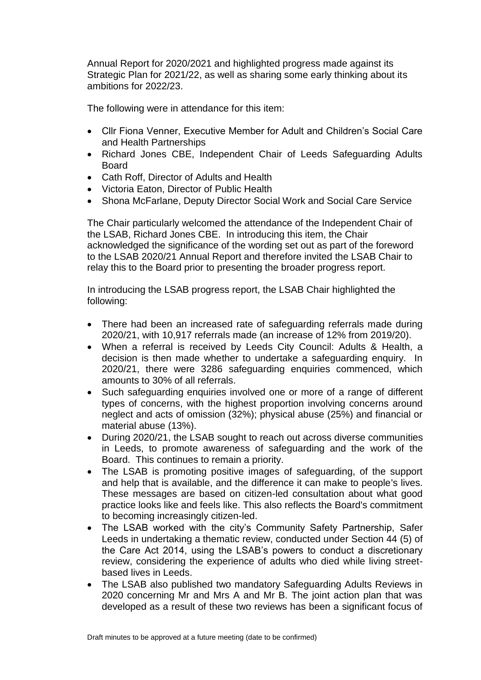Annual Report for 2020/2021 and highlighted progress made against its Strategic Plan for 2021/22, as well as sharing some early thinking about its ambitions for 2022/23.

The following were in attendance for this item:

- Cllr Fiona Venner, Executive Member for Adult and Children's Social Care and Health Partnerships
- Richard Jones CBE, Independent Chair of Leeds Safeguarding Adults Board
- Cath Roff, Director of Adults and Health
- Victoria Eaton, Director of Public Health
- Shona McFarlane, Deputy Director Social Work and Social Care Service

The Chair particularly welcomed the attendance of the Independent Chair of the LSAB, Richard Jones CBE. In introducing this item, the Chair acknowledged the significance of the wording set out as part of the foreword to the LSAB 2020/21 Annual Report and therefore invited the LSAB Chair to relay this to the Board prior to presenting the broader progress report.

In introducing the LSAB progress report, the LSAB Chair highlighted the following:

- There had been an increased rate of safeguarding referrals made during 2020/21, with 10,917 referrals made (an increase of 12% from 2019/20).
- When a referral is received by Leeds City Council: Adults & Health, a decision is then made whether to undertake a safeguarding enquiry. In 2020/21, there were 3286 safeguarding enquiries commenced, which amounts to 30% of all referrals.
- Such safeguarding enquiries involved one or more of a range of different types of concerns, with the highest proportion involving concerns around neglect and acts of omission (32%); physical abuse (25%) and financial or material abuse (13%).
- During 2020/21, the LSAB sought to reach out across diverse communities in Leeds, to promote awareness of safeguarding and the work of the Board. This continues to remain a priority.
- The LSAB is promoting positive images of safeguarding, of the support and help that is available, and the difference it can make to people's lives. These messages are based on citizen-led consultation about what good practice looks like and feels like. This also reflects the Board's commitment to becoming increasingly citizen-led.
- The LSAB worked with the city's Community Safety Partnership, Safer Leeds in undertaking a thematic review, conducted under Section 44 (5) of the Care Act 2014, using the LSAB's powers to conduct a discretionary review, considering the experience of adults who died while living streetbased lives in Leeds.
- The LSAB also published two mandatory Safeguarding Adults Reviews in 2020 concerning Mr and Mrs A and Mr B. The joint action plan that was developed as a result of these two reviews has been a significant focus of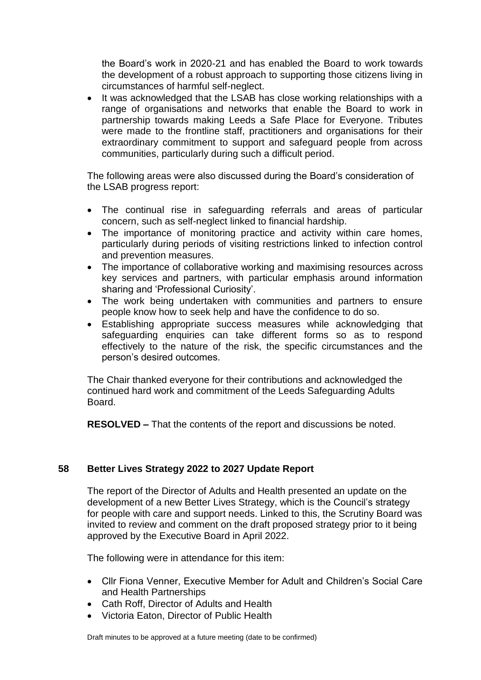the Board's work in 2020-21 and has enabled the Board to work towards the development of a robust approach to supporting those citizens living in circumstances of harmful self-neglect.

• It was acknowledged that the LSAB has close working relationships with a range of organisations and networks that enable the Board to work in partnership towards making Leeds a Safe Place for Everyone. Tributes were made to the frontline staff, practitioners and organisations for their extraordinary commitment to support and safeguard people from across communities, particularly during such a difficult period.

The following areas were also discussed during the Board's consideration of the LSAB progress report:

- The continual rise in safeguarding referrals and areas of particular concern, such as self-neglect linked to financial hardship.
- The importance of monitoring practice and activity within care homes, particularly during periods of visiting restrictions linked to infection control and prevention measures.
- The importance of collaborative working and maximising resources across key services and partners, with particular emphasis around information sharing and 'Professional Curiosity'.
- The work being undertaken with communities and partners to ensure people know how to seek help and have the confidence to do so.
- Establishing appropriate success measures while acknowledging that safeguarding enquiries can take different forms so as to respond effectively to the nature of the risk, the specific circumstances and the person's desired outcomes.

The Chair thanked everyone for their contributions and acknowledged the continued hard work and commitment of the Leeds Safeguarding Adults Board.

**RESOLVED –** That the contents of the report and discussions be noted.

## **58 Better Lives Strategy 2022 to 2027 Update Report**

The report of the Director of Adults and Health presented an update on the development of a new Better Lives Strategy, which is the Council's strategy for people with care and support needs. Linked to this, the Scrutiny Board was invited to review and comment on the draft proposed strategy prior to it being approved by the Executive Board in April 2022.

The following were in attendance for this item:

- Cllr Fiona Venner, Executive Member for Adult and Children's Social Care and Health Partnerships
- Cath Roff, Director of Adults and Health
- Victoria Eaton, Director of Public Health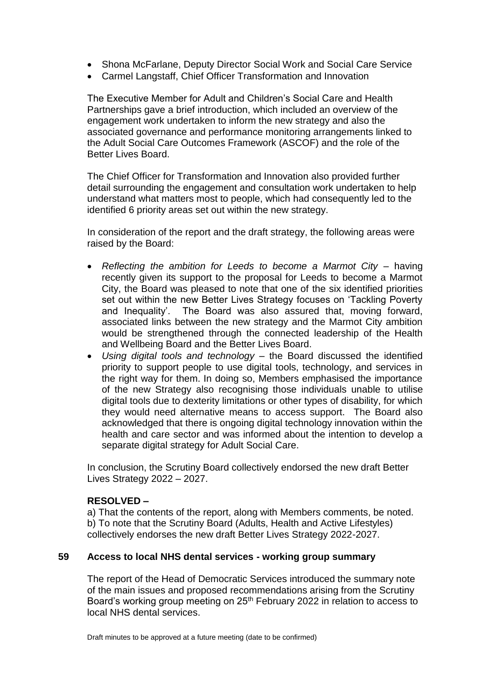- Shona McFarlane, Deputy Director Social Work and Social Care Service
- Carmel Langstaff, Chief Officer Transformation and Innovation

The Executive Member for Adult and Children's Social Care and Health Partnerships gave a brief introduction, which included an overview of the engagement work undertaken to inform the new strategy and also the associated governance and performance monitoring arrangements linked to the Adult Social Care Outcomes Framework (ASCOF) and the role of the Better Lives Board.

The Chief Officer for Transformation and Innovation also provided further detail surrounding the engagement and consultation work undertaken to help understand what matters most to people, which had consequently led to the identified 6 priority areas set out within the new strategy.

In consideration of the report and the draft strategy, the following areas were raised by the Board:

- *Reflecting the ambition for Leeds to become a Marmot City* having recently given its support to the proposal for Leeds to become a Marmot City, the Board was pleased to note that one of the six identified priorities set out within the new Better Lives Strategy focuses on 'Tackling Poverty and Inequality'. The Board was also assured that, moving forward, associated links between the new strategy and the Marmot City ambition would be strengthened through the connected leadership of the Health and Wellbeing Board and the Better Lives Board.
- *Using digital tools and technology –* the Board discussed the identified priority to support people to use digital tools, technology, and services in the right way for them. In doing so, Members emphasised the importance of the new Strategy also recognising those individuals unable to utilise digital tools due to dexterity limitations or other types of disability, for which they would need alternative means to access support. The Board also acknowledged that there is ongoing digital technology innovation within the health and care sector and was informed about the intention to develop a separate digital strategy for Adult Social Care.

In conclusion, the Scrutiny Board collectively endorsed the new draft Better Lives Strategy 2022 – 2027.

## **RESOLVED –**

a) That the contents of the report, along with Members comments, be noted. b) To note that the Scrutiny Board (Adults, Health and Active Lifestyles) collectively endorses the new draft Better Lives Strategy 2022-2027.

## **59 Access to local NHS dental services - working group summary**

The report of the Head of Democratic Services introduced the summary note of the main issues and proposed recommendations arising from the Scrutiny Board's working group meeting on 25<sup>th</sup> February 2022 in relation to access to local NHS dental services.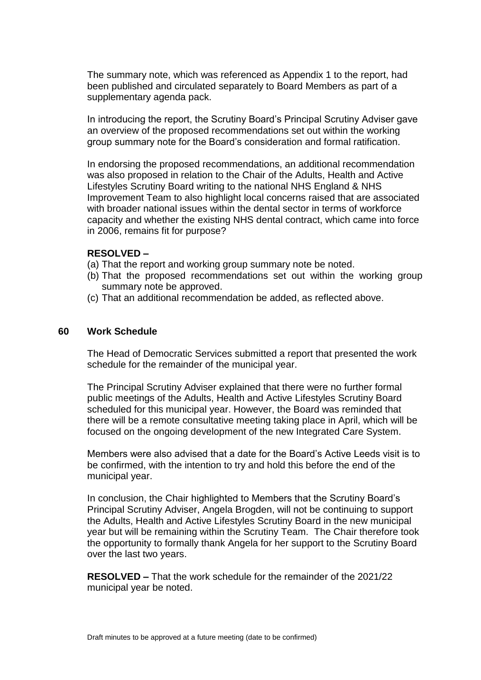The summary note, which was referenced as Appendix 1 to the report, had been published and circulated separately to Board Members as part of a supplementary agenda pack.

In introducing the report, the Scrutiny Board's Principal Scrutiny Adviser gave an overview of the proposed recommendations set out within the working group summary note for the Board's consideration and formal ratification.

In endorsing the proposed recommendations, an additional recommendation was also proposed in relation to the Chair of the Adults, Health and Active Lifestyles Scrutiny Board writing to the national NHS England & NHS Improvement Team to also highlight local concerns raised that are associated with broader national issues within the dental sector in terms of workforce capacity and whether the existing NHS dental contract, which came into force in 2006, remains fit for purpose?

#### **RESOLVED –**

- (a) That the report and working group summary note be noted.
- (b) That the proposed recommendations set out within the working group summary note be approved.
- (c) That an additional recommendation be added, as reflected above.

#### **60 Work Schedule**

The Head of Democratic Services submitted a report that presented the work schedule for the remainder of the municipal year.

The Principal Scrutiny Adviser explained that there were no further formal public meetings of the Adults, Health and Active Lifestyles Scrutiny Board scheduled for this municipal year. However, the Board was reminded that there will be a remote consultative meeting taking place in April, which will be focused on the ongoing development of the new Integrated Care System.

Members were also advised that a date for the Board's Active Leeds visit is to be confirmed, with the intention to try and hold this before the end of the municipal year.

In conclusion, the Chair highlighted to Members that the Scrutiny Board's Principal Scrutiny Adviser, Angela Brogden, will not be continuing to support the Adults, Health and Active Lifestyles Scrutiny Board in the new municipal year but will be remaining within the Scrutiny Team. The Chair therefore took the opportunity to formally thank Angela for her support to the Scrutiny Board over the last two years.

**RESOLVED –** That the work schedule for the remainder of the 2021/22 municipal year be noted.